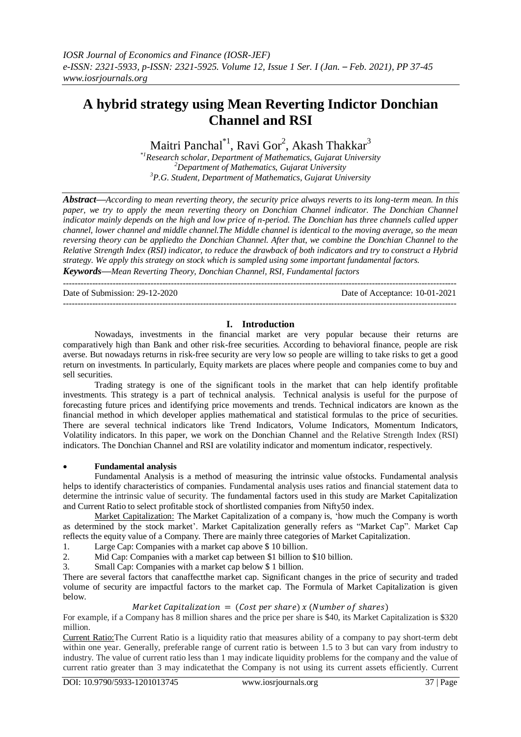# **A hybrid strategy using Mean Reverting Indictor Donchian Channel and RSI**

Maitri Panchal $^{\ast1}$ , Ravi Gor $^2$ , Akash Thakkar $^3$ 

\**<sup>1</sup>Research scholar, Department of Mathematics, Gujarat University <sup>2</sup>Department of Mathematics, Gujarat University <sup>3</sup>P.G. Student, Department of Mathematics, Gujarat University*

*Abstract—According to mean reverting theory, the security price always reverts to its long-term mean. In this*  paper, we try to apply the mean reverting theory on Donchian Channel indicator. The Donchian Channel *indicator mainly depends on the high and low price of n-period. The Donchian has three channels called upper channel, lower channel and middle channel.The Middle channel is identical to the moving average, so the mean reversing theory can be appliedto the Donchian Channel. After that, we combine the Donchian Channel to the Relative Strength Index (RSI) indicator, to reduce the drawback of both indicators and try to construct a Hybrid strategy. We apply this strategy on stock which is sampled using some important fundamental factors. Keywords—Mean Reverting Theory, Donchian Channel, RSI, Fundamental factors*

--------------------------------------------------------------------------------------------------------------------------------------- Date of Submission: 29-12-2020 Date of Acceptance: 10-01-2021 ---------------------------------------------------------------------------------------------------------------------------------------

## **I. Introduction**

Nowadays, investments in the financial market are very popular because their returns are comparatively high than Bank and other risk-free securities. According to behavioral finance, people are risk averse. But nowadays returns in risk-free security are very low so people are willing to take risks to get a good return on investments. In particularly, Equity markets are places where people and companies come to buy and sell securities.

Trading strategy is one of the significant tools in the market that can help identify profitable investments. This strategy is a part of technical analysis. Technical analysis is useful for the purpose of forecasting future prices and identifying price movements and trends. Technical indicators are known as the financial method in which developer applies mathematical and statistical formulas to the price of securities. There are several technical indicators like Trend Indicators, Volume Indicators, Momentum Indicators, Volatility indicators. In this paper, we work on the Donchian Channel and the Relative Strength Index (RSI) indicators. The Donchian Channel and RSI are volatility indicator and momentum indicator, respectively.

## **Fundamental analysis**

Fundamental Analysis is a method of measuring the intrinsic value ofstocks. Fundamental analysis helps to identify characteristics of companies. Fundamental analysis uses ratios and financial statement data to determine the intrinsic value of security. The fundamental factors used in this study are Market Capitalization and Current Ratio to select profitable stock of shortlisted companies from Nifty50 index.

Market Capitalization: The Market Capitalization of a company is, 'how much the Company is worth as determined by the stock market'. Market Capitalization generally refers as "Market Cap". Market Cap reflects the equity value of a Company. There are mainly three categories of Market Capitalization.

1. Large Cap: Companies with a market cap above \$ 10 billion.

2. Mid Cap: Companies with a market cap between \$1 billion to \$10 billion.

3. Small Cap: Companies with a market cap below \$ 1 billion.

There are several factors that canaffectthe market cap. Significant changes in the price of security and traded volume of security are impactful factors to the market cap. The Formula of Market Capitalization is given below.

## Market Capitalization =  $(Cost per share) x (Number of shares)$

For example, if a Company has 8 million shares and the price per share is \$40, its Market Capitalization is \$320 million.

Current Ratio:The Current Ratio is a liquidity ratio that measures ability of a company to pay short-term debt within one year. Generally, preferable range of current ratio is between 1.5 to 3 but can vary from industry to industry. The value of current ratio less than 1 may indicate liquidity problems for the company and the value of current ratio greater than 3 may indicatethat the Company is not using its current assets efficiently. Current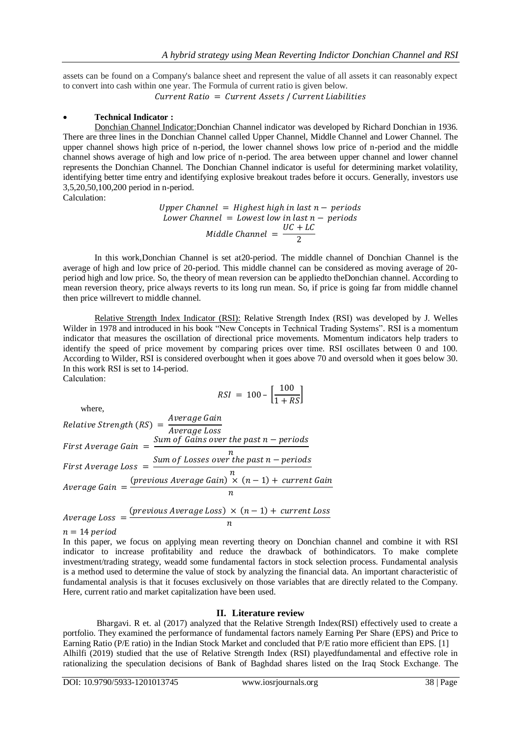assets can be found on a Company's balance sheet and represent the value of all assets it can reasonably expect to convert into cash within one year. The Formula of current ratio is given below.

Current Ratio = Current Assets / Current Liabilities

## **Technical Indicator :**

Donchian Channel Indicator:Donchian Channel indicator was developed by Richard Donchian in 1936. There are three lines in the Donchian Channel called Upper Channel, Middle Channel and Lower Channel. The upper channel shows high price of n-period, the lower channel shows low price of n-period and the middle channel shows average of high and low price of n-period. The area between upper channel and lower channel represents the Donchian Channel. The Donchian Channel indicator is useful for determining market volatility, identifying better time entry and identifying explosive breakout trades before it occurs. Generally, investors use 3,5,20,50,100,200 period in n-period.

Calculation:

Upper Channel = Highest high in last  $n$  – periods Lower Channel = Lowest low in last  $n$  – periods Middle Channel  $=$   $\frac{U}{\tau}$  $\overline{c}$ 

In this work,Donchian Channel is set at20-period. The middle channel of Donchian Channel is the average of high and low price of 20-period. This middle channel can be considered as moving average of 20 period high and low price. So, the theory of mean reversion can be appliedto theDonchian channel. According to mean reversion theory, price always reverts to its long run mean. So, if price is going far from middle channel then price willrevert to middle channel.

Relative Strength Index Indicator (RSI): Relative Strength Index (RSI) was developed by J. Welles Wilder in 1978 and introduced in his book "New Concepts in Technical Trading Systems". RSI is a momentum indicator that measures the oscillation of directional price movements. Momentum indicators help traders to identify the speed of price movement by comparing prices over time. RSI oscillates between 0 and 100. According to Wilder, RSI is considered overbought when it goes above 70 and oversold when it goes below 30. In this work RSI is set to 14-period.

Calculation:

$$
RSI = 100 - \left[\frac{100}{1 + RS}\right]
$$

 where, Relative Strength (RS) =  $\frac{A}{A}$  $\overline{A}$ First Average Gain  $=$   $\frac{S}{S}$  $\boldsymbol{n}$ First Average Loss  $=$   $\frac{S}{S}$  $\boldsymbol{n}$  $\overline{A}$ (  $\boldsymbol{n}$ 

$$
Average Loss = \frac{(previous Average Loss) \times (n - 1) + current Loss}{n}
$$

 $n = 14$  period

In this paper, we focus on applying mean reverting theory on Donchian channel and combine it with RSI indicator to increase profitability and reduce the drawback of bothindicators. To make complete investment/trading strategy, weadd some fundamental factors in stock selection process. Fundamental analysis is a method used to determine the value of stock by analyzing the financial data. An important characteristic of fundamental analysis is that it focuses exclusively on those variables that are directly related to the Company. Here, current ratio and market capitalization have been used.

#### **II. Literature review**

Bhargavi. R et. al (2017) analyzed that the Relative Strength Index(RSI) effectively used to create a portfolio. They examined the performance of fundamental factors namely Earning Per Share (EPS) and Price to Earning Ratio (P/E ratio) in the Indian Stock Market and concluded that P/E ratio more efficient than EPS. [1] Alhilfi (2019) studied that the use of Relative Strength Index (RSI) playedfundamental and effective role in rationalizing the speculation decisions of Bank of Baghdad shares listed on the Iraq Stock Exchange. The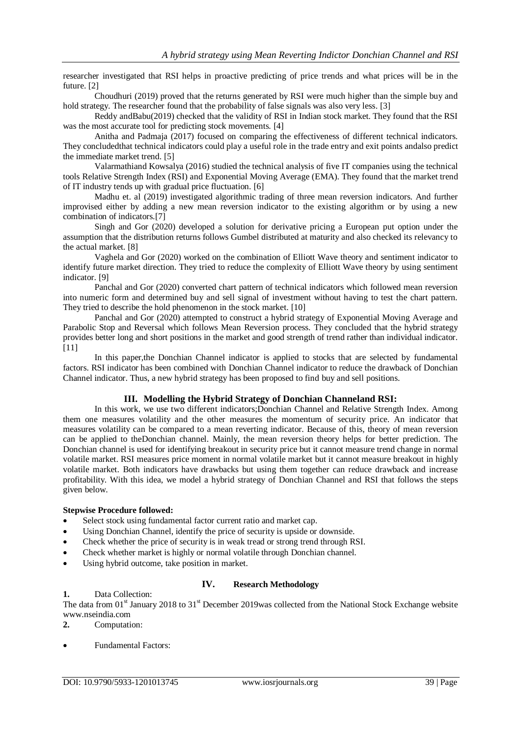researcher investigated that RSI helps in proactive predicting of price trends and what prices will be in the future. [2]

Choudhuri (2019) proved that the returns generated by RSI were much higher than the simple buy and hold strategy. The researcher found that the probability of false signals was also very less. [3]

Reddy andBabu(2019) checked that the validity of RSI in Indian stock market. They found that the RSI was the most accurate tool for predicting stock movements. [4]

Anitha and Padmaja (2017) focused on comparing the effectiveness of different technical indicators. They concludedthat technical indicators could play a useful role in the trade entry and exit points andalso predict the immediate market trend. [5]

Valarmathiand Kowsalya (2016) studied the technical analysis of five IT companies using the technical tools Relative Strength Index (RSI) and Exponential Moving Average (EMA). They found that the market trend of IT industry tends up with gradual price fluctuation. [6]

Madhu et. al (2019) investigated algorithmic trading of three mean reversion indicators. And further improvised either by adding a new mean reversion indicator to the existing algorithm or by using a new combination of indicators.[7]

Singh and Gor (2020) developed a solution for derivative pricing a European put option under the assumption that the distribution returns follows Gumbel distributed at maturity and also checked its relevancy to the actual market. [8]

Vaghela and Gor (2020) worked on the combination of Elliott Wave theory and sentiment indicator to identify future market direction. They tried to reduce the complexity of Elliott Wave theory by using sentiment indicator. [9]

Panchal and Gor (2020) converted chart pattern of technical indicators which followed mean reversion into numeric form and determined buy and sell signal of investment without having to test the chart pattern. They tried to describe the hold phenomenon in the stock market. [10]

Panchal and Gor (2020) attempted to construct a hybrid strategy of Exponential Moving Average and Parabolic Stop and Reversal which follows Mean Reversion process. They concluded that the hybrid strategy provides better long and short positions in the market and good strength of trend rather than individual indicator. [11]

In this paper,the Donchian Channel indicator is applied to stocks that are selected by fundamental factors. RSI indicator has been combined with Donchian Channel indicator to reduce the drawback of Donchian Channel indicator. Thus, a new hybrid strategy has been proposed to find buy and sell positions.

## **III. Modelling the Hybrid Strategy of Donchian Channeland RSI:**

In this work, we use two different indicators;Donchian Channel and Relative Strength Index. Among them one measures volatility and the other measures the momentum of security price. An indicator that measures volatility can be compared to a mean reverting indicator. Because of this, theory of mean reversion can be applied to theDonchian channel. Mainly, the mean reversion theory helps for better prediction. The Donchian channel is used for identifying breakout in security price but it cannot measure trend change in normal volatile market. RSI measures price moment in normal volatile market but it cannot measure breakout in highly volatile market. Both indicators have drawbacks but using them together can reduce drawback and increase profitability. With this idea, we model a hybrid strategy of Donchian Channel and RSI that follows the steps given below.

#### **Stepwise Procedure followed:**

- Select stock using fundamental factor current ratio and market cap.
- Using Donchian Channel, identify the price of security is upside or downside.
- Check whether the price of security is in weak tread or strong trend through RSI.
- Check whether market is highly or normal volatile through Donchian channel.
- Using hybrid outcome, take position in market.

## **IV. Research Methodology**

#### **1.** Data Collection:

The data from  $01<sup>st</sup>$  January 2018 to 31<sup>st</sup> December 2019was collected from the National Stock Exchange website www.nseindia.com

**2.** Computation:

Fundamental Factors: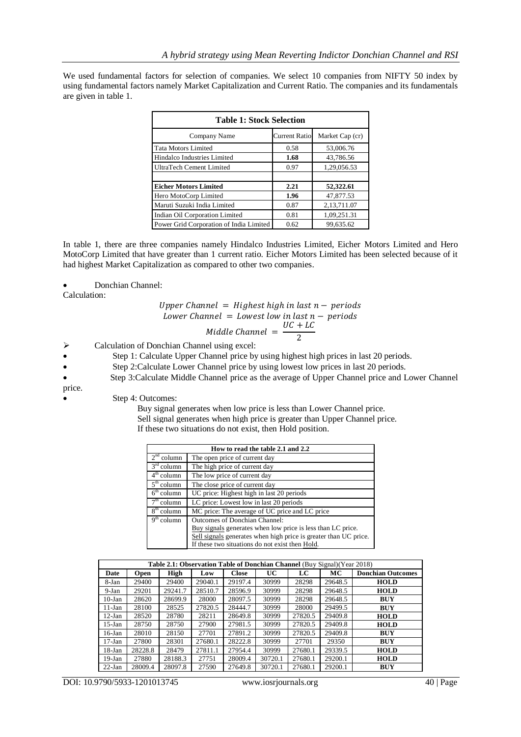We used fundamental factors for selection of companies. We select 10 companies from NIFTY 50 index by using fundamental factors namely Market Capitalization and Current Ratio. The companies and its fundamentals are given in table 1.

| <b>Table 1: Stock Selection</b>         |                      |                 |  |  |  |  |
|-----------------------------------------|----------------------|-----------------|--|--|--|--|
| Company Name                            | <b>Current Ratio</b> | Market Cap (cr) |  |  |  |  |
| <b>Tata Motors Limited</b>              | 0.58                 | 53,006.76       |  |  |  |  |
| Hindalco Industries Limited             | 1.68                 | 43,786.56       |  |  |  |  |
| UltraTech Cement Limited                | 0.97                 | 1,29,056.53     |  |  |  |  |
|                                         |                      |                 |  |  |  |  |
| <b>Eicher Motors Limited</b>            | 2.21                 | 52,322.61       |  |  |  |  |
| Hero MotoCorp Limited                   | 1.96                 | 47,877.53       |  |  |  |  |
| Maruti Suzuki India Limited             | 0.87                 | 2,13,711.07     |  |  |  |  |
| Indian Oil Corporation Limited          | 0.81                 | 1,09,251.31     |  |  |  |  |
| Power Grid Corporation of India Limited | 0.62                 | 99,635.62       |  |  |  |  |

In table 1, there are three companies namely Hindalco Industries Limited, Eicher Motors Limited and Hero MotoCorp Limited that have greater than 1 current ratio. Eicher Motors Limited has been selected because of it had highest Market Capitalization as compared to other two companies.

Donchian Channel:

Calculation:

Upper Channel = Higher high in last n – periods

\nLower Channel = Lower low in last n – periods

\n Middle Channel = 
$$
\frac{UC + LC}{2}
$$

 $\triangleright$  Calculation of Donchian Channel using excel:

- Step 1: Calculate Upper Channel price by using highest high prices in last 20 periods.
- Step 2:Calculate Lower Channel price by using lowest low prices in last 20 periods.
- Step 3:Calculate Middle Channel price as the average of Upper Channel price and Lower Channel
- price.
	- Step 4: Outcomes:
		- Buy signal generates when low price is less than Lower Channel price. Sell signal generates when high price is greater than Upper Channel price. If these two situations do not exist, then Hold position.

|              | How to read the table 2.1 and 2.2                                |  |  |  |  |  |  |
|--------------|------------------------------------------------------------------|--|--|--|--|--|--|
| $2nd$ column | The open price of current day                                    |  |  |  |  |  |  |
| $3rd$ column | The high price of current day                                    |  |  |  |  |  |  |
| $4th$ column | The low price of current day                                     |  |  |  |  |  |  |
| $5th$ column | The close price of current day                                   |  |  |  |  |  |  |
| $6th$ column | UC price: Highest high in last 20 periods                        |  |  |  |  |  |  |
| $7th$ column | LC price: Lowest low in last 20 periods                          |  |  |  |  |  |  |
| $8th$ column | MC price: The average of UC price and LC price                   |  |  |  |  |  |  |
| $9th$ column | Outcomes of Donchian Channel:                                    |  |  |  |  |  |  |
|              | Buy signals generates when low price is less than LC price.      |  |  |  |  |  |  |
|              | Sell signals generates when high price is greater than UC price. |  |  |  |  |  |  |
|              | If these two situations do not exist then Hold.                  |  |  |  |  |  |  |

|           | Table 2.1: Observation Table of Donchian Channel (Buy Signal) (Year 2018) |         |         |              |           |         |         |                          |
|-----------|---------------------------------------------------------------------------|---------|---------|--------------|-----------|---------|---------|--------------------------|
| Date      | <b>Open</b>                                                               | High    | Low     | <b>Close</b> | <b>UC</b> | LC      | MC      | <b>Donchian Outcomes</b> |
| 8-Jan     | 29400                                                                     | 29400   | 29040.1 | 29197.4      | 30999     | 28298   | 29648.5 | <b>HOLD</b>              |
| $9-Jan$   | 29201                                                                     | 29241.7 | 28510.7 | 28596.9      | 30999     | 28298   | 29648.5 | <b>HOLD</b>              |
| $10-Ian$  | 28620                                                                     | 28699.9 | 28000   | 28097.5      | 30999     | 28298   | 29648.5 | <b>BUY</b>               |
| $11$ -Jan | 28100                                                                     | 28525   | 27820.5 | 28444.7      | 30999     | 28000   | 29499.5 | BUY                      |
| $12-Jan$  | 28520                                                                     | 28780   | 28211   | 28649.8      | 30999     | 27820.5 | 29409.8 | <b>HOLD</b>              |
| $15$ -Jan | 28750                                                                     | 28750   | 27900   | 27981.5      | 30999     | 27820.5 | 29409.8 | <b>HOLD</b>              |
| $16$ -Jan | 28010                                                                     | 28150   | 27701   | 27891.2      | 30999     | 27820.5 | 29409.8 | <b>BUY</b>               |
| $17-Ian$  | 27800                                                                     | 28301   | 27680.1 | 28222.8      | 30999     | 27701   | 29350   | <b>BUY</b>               |
| $18-Ian$  | 28228.8                                                                   | 28479   | 27811.1 | 27954.4      | 30999     | 27680.1 | 29339.5 | <b>HOLD</b>              |
| $19$ -Jan | 27880                                                                     | 28188.3 | 27751   | 28009.4      | 30720.1   | 27680.1 | 29200.1 | <b>HOLD</b>              |
| $22$ -Jan | 28009.4                                                                   | 28097.8 | 27590   | 27649.8      | 30720.1   | 27680.1 | 29200.1 | <b>BUY</b>               |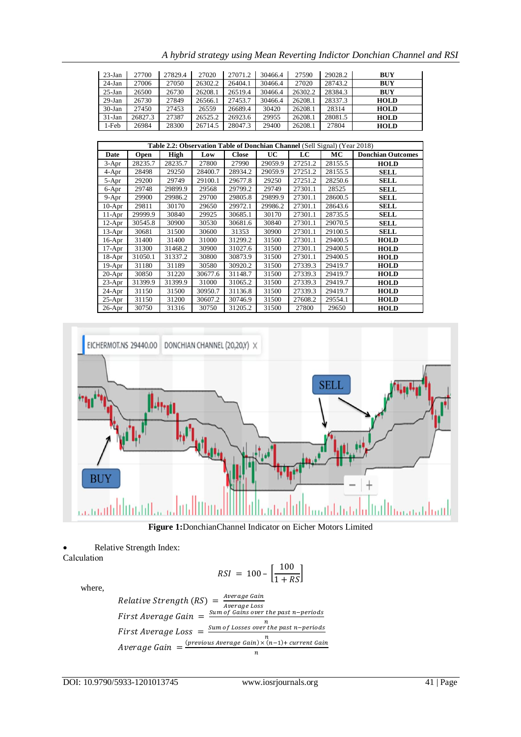| $23$ -Jan | 27700   | 27829.4 | 27020   | 27071.2 | 30466.4 | 27590   | 29028.2 | <b>BUY</b>  |
|-----------|---------|---------|---------|---------|---------|---------|---------|-------------|
| $24$ -Jan | 27006   | 27050   | 26302.2 | 26404.1 | 30466.4 | 27020   | 28743.2 | <b>BUY</b>  |
| $25-Ian$  | 26500   | 26730   | 26208.1 | 26519.4 | 30466.4 | 26302.2 | 28384.3 | <b>BUY</b>  |
| $29-Ian$  | 26730   | 27849   | 26566.1 | 27453.7 | 30466.4 | 26208.1 | 28337.3 | <b>HOLD</b> |
| $30-Ian$  | 27450   | 27453   | 26559   | 26689.4 | 30420   | 26208.1 | 28314   | <b>HOLD</b> |
| $31-Ian$  | 26827.3 | 27387   | 26525.2 | 26923.6 | 29955   | 26208.1 | 28081.5 | <b>HOLD</b> |
| 1-Feb     | 26984   | 28300   | 26714.5 | 28047.3 | 29400   | 26208.1 | 27804   | <b>HOLD</b> |

*A hybrid strategy using Mean Reverting Indictor Donchian Channel and RSI*

|           | Table 2.2: Observation Table of Donchian Channel (Sell Signal) (Year 2018) |             |         |              |           |         |         |                          |  |
|-----------|----------------------------------------------------------------------------|-------------|---------|--------------|-----------|---------|---------|--------------------------|--|
| Date      | Open                                                                       | <b>High</b> | Low     | <b>Close</b> | <b>UC</b> | LC      | MC      | <b>Donchian Outcomes</b> |  |
| $3-Apr$   | 28235.7                                                                    | 28235.7     | 27800   | 27990        | 29059.9   | 27251.2 | 28155.5 | <b>HOLD</b>              |  |
| 4-Apr     | 28498                                                                      | 29250       | 28400.7 | 28934.2      | 29059.9   | 27251.2 | 28155.5 | SELL                     |  |
| 5-Apr     | 29200                                                                      | 29749       | 29100.1 | 29677.8      | 29250     | 27251.2 | 28250.6 | <b>SELL</b>              |  |
| 6-Apr     | 29748                                                                      | 29899.9     | 29568   | 29799.2      | 29749     | 27301.1 | 28525   | <b>SELL</b>              |  |
| $9 - Apr$ | 29900                                                                      | 29986.2     | 29700   | 29805.8      | 29899.9   | 27301.1 | 28600.5 | <b>SELL</b>              |  |
| $10-Apr$  | 29811                                                                      | 30170       | 29650   | 29972.1      | 29986.2   | 27301.1 | 28643.6 | SELL                     |  |
| $11-Apr$  | 29999.9                                                                    | 30840       | 29925   | 30685.1      | 30170     | 27301.1 | 28735.5 | <b>SELL</b>              |  |
| $12-Apr$  | 30545.8                                                                    | 30900       | 30530   | 30681.6      | 30840     | 27301.1 | 29070.5 | SELL                     |  |
| $13-Apr$  | 30681                                                                      | 31500       | 30600   | 31353        | 30900     | 27301.1 | 29100.5 | SELL                     |  |
| $16-Apr$  | 31400                                                                      | 31400       | 31000   | 31299.2      | 31500     | 27301.1 | 29400.5 | <b>HOLD</b>              |  |
| 17-Apr    | 31300                                                                      | 31468.2     | 30900   | 31027.6      | 31500     | 27301.1 | 29400.5 | <b>HOLD</b>              |  |
| $18-Apr$  | 31050.1                                                                    | 31337.2     | 30800   | 30873.9      | 31500     | 27301.1 | 29400.5 | <b>HOLD</b>              |  |
| $19-Apr$  | 31180                                                                      | 31189       | 30580   | 30920.2      | 31500     | 27339.3 | 29419.7 | <b>HOLD</b>              |  |
| $20-Apr$  | 30850                                                                      | 31220       | 30677.6 | 31148.7      | 31500     | 27339.3 | 29419.7 | <b>HOLD</b>              |  |
| $23-Apr$  | 31399.9                                                                    | 31399.9     | 31000   | 31065.2      | 31500     | 27339.3 | 29419.7 | <b>HOLD</b>              |  |
| 24-Apr    | 31150                                                                      | 31500       | 30950.7 | 31136.8      | 31500     | 27339.3 | 29419.7 | <b>HOLD</b>              |  |
| $25-Apr$  | 31150                                                                      | 31200       | 30607.2 | 30746.9      | 31500     | 27608.2 | 29554.1 | <b>HOLD</b>              |  |
| $26$ -Apr | 30750                                                                      | 31316       | 30750   | 31205.2      | 31500     | 27800   | 29650   | <b>HOLD</b>              |  |



**Figure 1:**DonchianChannel Indicator on Eicher Motors Limited

Relative Strength Index:

Calculation

$$
RSI = 100 - \left[\frac{100}{1 + RS}\right]
$$

where,

Relative Strength (RS) = 
$$
\frac{\text{Average Gain}}{\text{Average Loss}}
$$
  
First Average Gain = 
$$
\frac{\text{Sum of Gains over the past n-periods}}{\text{First Average Loss}} = \frac{\text{Sum of Losses over the past n-periods}}{n}
$$
  
Average Gain = 
$$
\frac{(\text{previous Average Gain}) \times (n-1) + \text{current Gain}}{n}
$$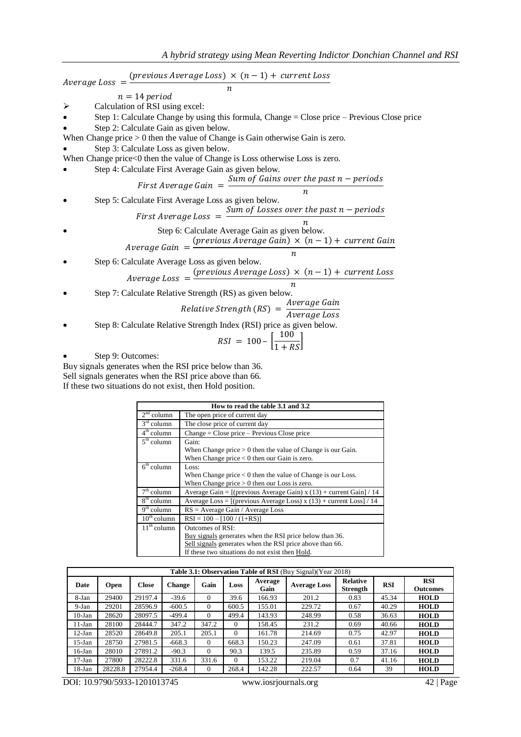$Average Loss =$ (  $\boldsymbol{n}$  $n = 14$  period  $\triangleright$  Calculation of RSI using excel:  $\bullet$  Step 1: Calculate Change by using this formula, Change = Close price – Previous Close price Step 2: Calculate Gain as given below. When Change price  $> 0$  then the value of Change is Gain otherwise Gain is zero. Step 3: Calculate Loss as given below. When Change price<0 then the value of Change is Loss otherwise Loss is zero. Step 4: Calculate First Average Gain as given below. First Average Gain  $=$ Sum of Gains over the past  $n$  – periods  $\boldsymbol{n}$  Step 5: Calculate First Average Loss as given below. First Average Loss  $=$   $\frac{S}{S}$  $\boldsymbol{n}$  Step 6: Calculate Average Gain as given below.  $\overline{A}$ (  $\overline{n}$  Step 6: Calculate Average Loss as given below.  $\overline{A}$ (  $\boldsymbol{n}$  Step 7: Calculate Relative Strength (RS) as given below. Relative Strength (RS) =  $\frac{A}{A}$  $\overline{A}$  Step 8: Calculate Relative Strength Index (RSI) price as given below.  $RSI = 100 - \left[\frac{1}{1}\right]$  $\mathbf{1}$ Step 9: Outcomes:

Buy signals generates when the RSI price below than 36. Sell signals generates when the RSI price above than 66. If these two situations do not exist, then Hold position.

|                                   | How to read the table 3.1 and 3.2                                     |  |  |  |  |  |  |
|-----------------------------------|-----------------------------------------------------------------------|--|--|--|--|--|--|
| $2nd$ column                      | The open price of current day                                         |  |  |  |  |  |  |
| $3rd$ column                      | The close price of current day                                        |  |  |  |  |  |  |
| $4th$ column                      | Change = Close price - Previous Close price                           |  |  |  |  |  |  |
| $5th$ column                      | Gain:                                                                 |  |  |  |  |  |  |
|                                   | When Change price $> 0$ then the value of Change is our Gain.         |  |  |  |  |  |  |
|                                   | When Change price $< 0$ then our Gain is zero.                        |  |  |  |  |  |  |
| $\overline{6}^{\text{th}}$ column | Loss:                                                                 |  |  |  |  |  |  |
|                                   | When Change price $< 0$ then the value of Change is our Loss.         |  |  |  |  |  |  |
|                                   | When Change price $> 0$ then our Loss is zero.                        |  |  |  |  |  |  |
| $7th$ column                      | Average Gain = $[(previous Average Gain) x (13) + current Gain] / 14$ |  |  |  |  |  |  |
| $8th$ column                      | Average Loss = $[(previous Average Loss) x (13) + current Loss] / 14$ |  |  |  |  |  |  |
| $9th$ column                      | $RS = Average Gain / Average Loss$                                    |  |  |  |  |  |  |
| $10^{th}$ column                  | $RSI = 100 - [100 / (1 + RS)]$                                        |  |  |  |  |  |  |
| $11th$ column                     | Outcomes of RSI:                                                      |  |  |  |  |  |  |
|                                   | Buy signals generates when the RSI price below than 36.               |  |  |  |  |  |  |
|                                   | Sell signals generates when the RSI price above than 66.              |  |  |  |  |  |  |
|                                   | If these two situations do not exist then Hold.                       |  |  |  |  |  |  |

|           | Table 3.1: Observation Table of RSI (Buy Signal) (Year 2018) |              |               |          |          |                 |                     |                             |            |                               |
|-----------|--------------------------------------------------------------|--------------|---------------|----------|----------|-----------------|---------------------|-----------------------------|------------|-------------------------------|
| Date      | <b>Open</b>                                                  | <b>Close</b> | <b>Change</b> | Gain     | Loss     | Average<br>Gain | <b>Average Loss</b> | <b>Relative</b><br>Strength | <b>RSI</b> | <b>RSI</b><br><b>Outcomes</b> |
| 8-Jan     | 29400                                                        | 29197.4      | $-39.6$       | $\Omega$ | 39.6     | 166.93          | 201.2               | 0.83                        | 45.34      | <b>HOLD</b>                   |
| $9-Jan$   | 29201                                                        | 28596.9      | $-600.5$      | $\Omega$ | 600.5    | 155.01          | 229.72              | 0.67                        | 40.29      | <b>HOLD</b>                   |
| $10$ -Jan | 28620                                                        | 28097.5      | $-499.4$      | $\Omega$ | 499.4    | 143.93          | 248.99              | 0.58                        | 36.63      | <b>HOLD</b>                   |
| $11$ -Jan | 28100                                                        | 28444.7      | 347.2         | 347.2    | $\Omega$ | 158.45          | 231.2               | 0.69                        | 40.66      | <b>HOLD</b>                   |
| $12-Ian$  | 28520                                                        | 28649.8      | 205.1         | 205.1    | $\Omega$ | 161.78          | 214.69              | 0.75                        | 42.97      | <b>HOLD</b>                   |
| $15$ -Jan | 28750                                                        | 27981.5      | $-668.3$      | $\Omega$ | 668.3    | 150.23          | 247.09              | 0.61                        | 37.81      | <b>HOLD</b>                   |
| $16$ -Jan | 28010                                                        | 27891.2      | $-90.3$       | $\Omega$ | 90.3     | 139.5           | 235.89              | 0.59                        | 37.16      | <b>HOLD</b>                   |
| $17-Ian$  | 27800                                                        | 28222.8      | 331.6         | 331.6    | $\Omega$ | 153.22          | 219.04              | 0.7                         | 41.16      | <b>HOLD</b>                   |
| $18$ -Jan | 28228.8                                                      | 27954.4      | $-268.4$      | $\theta$ | 268.4    | 142.28          | 222.57              | 0.64                        | 39         | <b>HOLD</b>                   |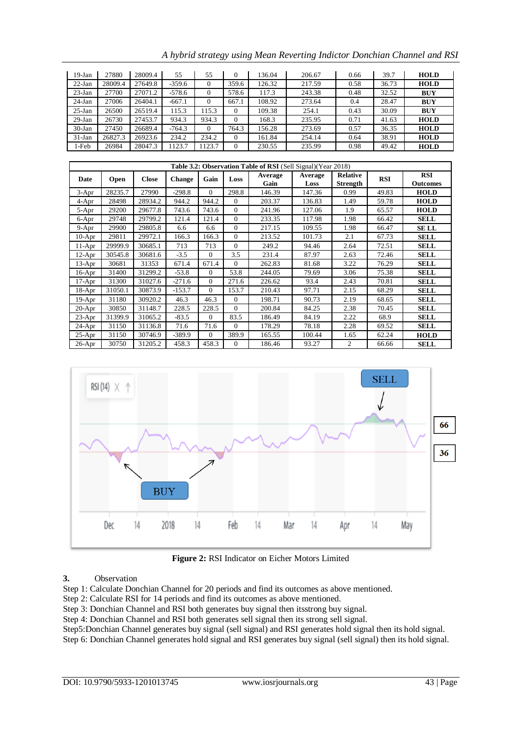| $19-Jan$  | 27880   | 28009.4 | 55       | 55       | $\Omega$ | 136.04  | 206.67                                                               | 0.66            | 39.7  | <b>HOLD</b> |
|-----------|---------|---------|----------|----------|----------|---------|----------------------------------------------------------------------|-----------------|-------|-------------|
| $22-Ian$  | 28009.4 | 27649.8 | $-359.6$ | $\Omega$ | 359.6    | 126.32  | 217.59                                                               | 0.58            | 36.73 | <b>HOLD</b> |
| $23$ -Jan | 27700   | 27071.2 | $-578.6$ | $\Omega$ | 578.6    | 117.3   | 243.38                                                               | 0.48            | 32.52 | <b>BUY</b>  |
| $24$ -Jan | 27006   | 26404.1 | $-667.1$ | $\Omega$ | 667.1    | 108.92  | 273.64                                                               | 0.4             | 28.47 | <b>BUY</b>  |
| $25$ -Jan | 26500   | 26519.4 | 115.3    | 115.3    | $\Omega$ | 109.38  | 254.1                                                                | 0.43            | 30.09 | <b>BUY</b>  |
| $29$ -Jan | 26730   | 27453.7 | 934.3    | 934.3    | $\Omega$ | 168.3   | 235.95                                                               | 0.71            | 41.63 | <b>HOLD</b> |
| $30-Jan$  | 27450   | 26689.4 | $-764.3$ | $\Omega$ | 764.3    | 156.28  | 273.69                                                               | 0.57            | 36.35 | <b>HOLD</b> |
| $31$ -Jan | 26827.3 | 26923.6 | 234.2    | 234.2    | $\Omega$ | 161.84  | 254.14                                                               | 0.64            | 38.91 | <b>HOLD</b> |
| 1-Feb     | 26984   | 28047.3 | 1123.7   | 1123.7   | $\Omega$ | 230.55  | 235.99                                                               | 0.98            | 49.42 | <b>HOLD</b> |
|           |         |         |          |          |          |         |                                                                      |                 |       |             |
|           |         |         |          |          |          |         | <b>Table 3.2: Observation Table of RSI</b> (Sell Signal) (Year 2018) |                 |       |             |
|           |         |         |          | ___      |          | Average | Average                                                              | <b>Relative</b> |       | <b>RSI</b>  |

*A hybrid strategy using Mean Reverting Indictor Donchian Channel and RSI*

|           | Table 3.2: Observation Table of RSI (Sell Signal) (Year 2018) |              |          |          |          |                 |                 |                                    |            |                               |
|-----------|---------------------------------------------------------------|--------------|----------|----------|----------|-----------------|-----------------|------------------------------------|------------|-------------------------------|
| Date      | Open                                                          | <b>Close</b> | Change   | Gain     | Loss     | Average<br>Gain | Average<br>Loss | <b>Relative</b><br><b>Strength</b> | <b>RSI</b> | <b>RSI</b><br><b>Outcomes</b> |
| $3-Apr$   | 28235.7                                                       | 27990        | $-298.8$ | $\Omega$ | 298.8    | 146.39          | 147.36          | 0.99                               | 49.83      | <b>HOLD</b>                   |
| 4-Apr     | 28498                                                         | 28934.2      | 944.2    | 944.2    | $\Omega$ | 203.37          | 136.83          | 1.49                               | 59.78      | <b>HOLD</b>                   |
| 5-Apr     | 29200                                                         | 29677.8      | 743.6    | 743.6    | $\Omega$ | 241.96          | 127.06          | 1.9                                | 65.57      | <b>HOLD</b>                   |
| 6-Apr     | 29748                                                         | 29799.2      | 121.4    | 121.4    | $\Omega$ | 233.35          | 117.98          | 1.98                               | 66.42      | <b>SELL</b>                   |
| $9 - Apr$ | 29900                                                         | 29805.8      | 6.6      | 6.6      | $\Omega$ | 217.15          | 109.55          | 1.98                               | 66.47      | <b>SELL</b>                   |
| $10-Apr$  | 29811                                                         | 29972.1      | 166.3    | 166.3    | $\Omega$ | 213.52          | 101.73          | 2.1                                | 67.73      | <b>SELL</b>                   |
| $11-Apr$  | 29999.9                                                       | 30685.1      | 713      | 713      | $\Omega$ | 249.2           | 94.46           | 2.64                               | 72.51      | <b>SELL</b>                   |
| $12-Apr$  | 30545.8                                                       | 30681.6      | $-3.5$   | $\Omega$ | 3.5      | 231.4           | 87.97           | 2.63                               | 72.46      | <b>SELL</b>                   |
| $13-Apr$  | 30681                                                         | 31353        | 671.4    | 671.4    | $\Omega$ | 262.83          | 81.68           | 3.22                               | 76.29      | <b>SELL</b>                   |
| $16-Apr$  | 31400                                                         | 31299.2      | $-53.8$  | $\Omega$ | 53.8     | 244.05          | 79.69           | 3.06                               | 75.38      | <b>SELL</b>                   |
| $17-Apr$  | 31300                                                         | 31027.6      | $-271.6$ | $\Omega$ | 271.6    | 226.62          | 93.4            | 2.43                               | 70.81      | <b>SELL</b>                   |
| $18-Apr$  | 31050.1                                                       | 30873.9      | $-153.7$ | $\Omega$ | 153.7    | 210.43          | 97.71           | 2.15                               | 68.29      | <b>SELL</b>                   |
| $19-Apr$  | 31180                                                         | 30920.2      | 46.3     | 46.3     | $\Omega$ | 198.71          | 90.73           | 2.19                               | 68.65      | <b>SELL</b>                   |
| $20-Apr$  | 30850                                                         | 31148.7      | 228.5    | 228.5    | $\Omega$ | 200.84          | 84.25           | 2.38                               | 70.45      | <b>SELL</b>                   |
| $23-Apr$  | 31399.9                                                       | 31065.2      | $-83.5$  | $\Omega$ | 83.5     | 186.49          | 84.19           | 2.22                               | 68.9       | <b>SELL</b>                   |
| $24-Apr$  | 31150                                                         | 31136.8      | 71.6     | 71.6     | $\Omega$ | 178.29          | 78.18           | 2.28                               | 69.52      | <b>SELL</b>                   |
| $25-Apr$  | 31150                                                         | 30746.9      | $-389.9$ | $\Omega$ | 389.9    | 165.55          | 100.44          | 1.65                               | 62.24      | <b>HOLD</b>                   |
| $26$ -Apr | 30750                                                         | 31205.2      | 458.3    | 458.3    | $\Omega$ | 186.46          | 93.27           | $\overline{c}$                     | 66.66      | <b>SELL</b>                   |



**Figure 2:** RSI Indicator on Eicher Motors Limited

**3.** Observation

Step 1: Calculate Donchian Channel for 20 periods and find its outcomes as above mentioned.

Step 2: Calculate RSI for 14 periods and find its outcomes as above mentioned.

Step 3: Donchian Channel and RSI both generates buy signal then itsstrong buy signal.

Step 4: Donchian Channel and RSI both generates sell signal then its strong sell signal.

Step5:Donchian Channel generates buy signal (sell signal) and RSI generates hold signal then its hold signal.

Step 6: Donchian Channel generates hold signal and RSI generates buy signal (sell signal) then its hold signal.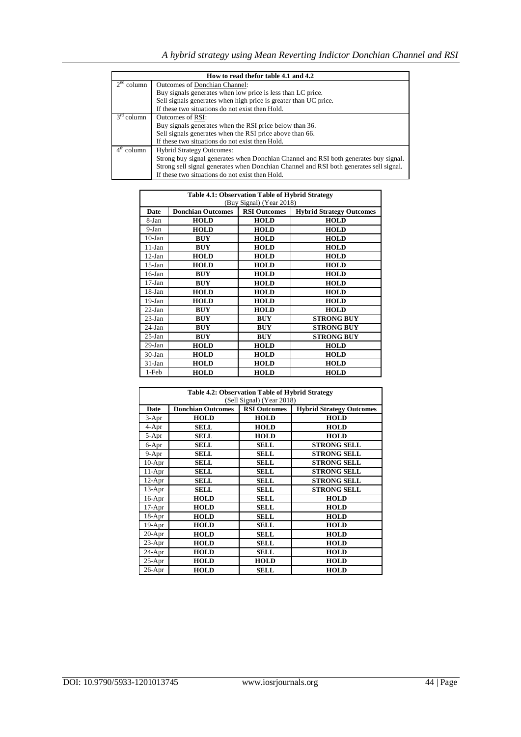|              | How to read thefor table 4.1 and 4.2                                                   |  |  |  |  |  |  |  |
|--------------|----------------------------------------------------------------------------------------|--|--|--|--|--|--|--|
| $2nd$ column | Outcomes of Donchian Channel:                                                          |  |  |  |  |  |  |  |
|              | Buy signals generates when low price is less than LC price.                            |  |  |  |  |  |  |  |
|              | Sell signals generates when high price is greater than UC price.                       |  |  |  |  |  |  |  |
|              | If these two situations do not exist then Hold.                                        |  |  |  |  |  |  |  |
| $3rd$ column | Outcomes of RSI:                                                                       |  |  |  |  |  |  |  |
|              | Buy signals generates when the RSI price below than 36.                                |  |  |  |  |  |  |  |
|              | Sell signals generates when the RSI price above than 66.                               |  |  |  |  |  |  |  |
|              | If these two situations do not exist then Hold.                                        |  |  |  |  |  |  |  |
| $4th$ column | <b>Hybrid Strategy Outcomes:</b>                                                       |  |  |  |  |  |  |  |
|              | Strong buy signal generates when Donchian Channel and RSI both generates buy signal.   |  |  |  |  |  |  |  |
|              | Strong sell signal generates when Donchian Channel and RSI both generates sell signal. |  |  |  |  |  |  |  |
|              | If these two situations do not exist then Hold.                                        |  |  |  |  |  |  |  |

|           | <b>Table 4.1: Observation Table of Hybrid Strategy</b><br>(Buy Signal) (Year 2018) |                     |                                 |  |  |  |  |  |
|-----------|------------------------------------------------------------------------------------|---------------------|---------------------------------|--|--|--|--|--|
| Date      | <b>Donchian Outcomes</b>                                                           | <b>RSI Outcomes</b> | <b>Hybrid Strategy Outcomes</b> |  |  |  |  |  |
| 8-Jan     | <b>HOLD</b>                                                                        | <b>HOLD</b>         | <b>HOLD</b>                     |  |  |  |  |  |
| $9-Ian$   | <b>HOLD</b>                                                                        | <b>HOLD</b>         | <b>HOLD</b>                     |  |  |  |  |  |
| $10$ -Jan | <b>BUY</b>                                                                         | <b>HOLD</b>         | <b>HOLD</b>                     |  |  |  |  |  |
| $11-Ian$  | <b>BUY</b>                                                                         | <b>HOLD</b>         | <b>HOLD</b>                     |  |  |  |  |  |
| $12-Ian$  | <b>HOLD</b>                                                                        | <b>HOLD</b>         | <b>HOLD</b>                     |  |  |  |  |  |
| $15$ -Jan | <b>HOLD</b>                                                                        | <b>HOLD</b>         | <b>HOLD</b>                     |  |  |  |  |  |
| $16$ -Jan | <b>BUY</b>                                                                         | <b>HOLD</b>         | <b>HOLD</b>                     |  |  |  |  |  |
| $17-Ian$  | <b>BUY</b>                                                                         | <b>HOLD</b>         | <b>HOLD</b>                     |  |  |  |  |  |
| $18$ -Jan | <b>HOLD</b>                                                                        | <b>HOLD</b>         | <b>HOLD</b>                     |  |  |  |  |  |
| $19-Ian$  | <b>HOLD</b>                                                                        | <b>HOLD</b>         | <b>HOLD</b>                     |  |  |  |  |  |
| $22-Ian$  | <b>BUY</b>                                                                         | <b>HOLD</b>         | <b>HOLD</b>                     |  |  |  |  |  |
| $23-Ian$  | <b>BUY</b>                                                                         | <b>BUY</b>          | <b>STRONG BUY</b>               |  |  |  |  |  |
| $24-Ian$  | <b>BUY</b>                                                                         | <b>BUY</b>          | <b>STRONG BUY</b>               |  |  |  |  |  |
| $25-Ian$  | <b>BUY</b>                                                                         | <b>BUY</b>          | <b>STRONG BUY</b>               |  |  |  |  |  |
| $29-Ian$  | <b>HOLD</b>                                                                        | <b>HOLD</b>         | <b>HOLD</b>                     |  |  |  |  |  |
| $30-Ian$  | <b>HOLD</b>                                                                        | <b>HOLD</b>         | <b>HOLD</b>                     |  |  |  |  |  |
| $31-Ian$  | <b>HOLD</b>                                                                        | <b>HOLD</b>         | <b>HOLD</b>                     |  |  |  |  |  |
| 1-Feb     | <b>HOLD</b>                                                                        | <b>HOLD</b>         | <b>HOLD</b>                     |  |  |  |  |  |

|          | Table 4.2: Observation Table of Hybrid Strategy<br>(Sell Signal) (Year 2018) |                     |                                 |  |  |  |  |  |  |
|----------|------------------------------------------------------------------------------|---------------------|---------------------------------|--|--|--|--|--|--|
| Date     | <b>Donchian Outcomes</b>                                                     | <b>RSI Outcomes</b> | <b>Hybrid Strategy Outcomes</b> |  |  |  |  |  |  |
| $3-Apr$  | <b>HOLD</b>                                                                  | <b>HOLD</b>         | <b>HOLD</b>                     |  |  |  |  |  |  |
| 4-Apr    | SELL                                                                         | <b>HOLD</b>         | <b>HOLD</b>                     |  |  |  |  |  |  |
| 5-Apr    | SELL                                                                         | <b>HOLD</b>         | <b>HOLD</b>                     |  |  |  |  |  |  |
| 6-Apr    | <b>SELL</b>                                                                  | <b>SELL</b>         | <b>STRONG SELL</b>              |  |  |  |  |  |  |
| 9-Apr    | <b>SELL</b>                                                                  | <b>SELL</b>         | <b>STRONG SELL</b>              |  |  |  |  |  |  |
| $10-Apr$ | <b>SELL</b>                                                                  | <b>SELL</b>         | <b>STRONG SELL</b>              |  |  |  |  |  |  |
| $11-Apr$ | <b>SELL</b>                                                                  | <b>SELL</b>         | <b>STRONG SELL</b>              |  |  |  |  |  |  |
| $12-Apr$ | <b>SELL</b>                                                                  | <b>SELL</b>         | <b>STRONG SELL</b>              |  |  |  |  |  |  |
| $13-Apr$ | <b>SELL</b>                                                                  | <b>SELL</b>         | <b>STRONG SELL</b>              |  |  |  |  |  |  |
| $16-Apr$ | <b>HOLD</b>                                                                  | <b>SELL</b>         | <b>HOLD</b>                     |  |  |  |  |  |  |
| $17-Apr$ | <b>HOLD</b>                                                                  | <b>SELL</b>         | <b>HOLD</b>                     |  |  |  |  |  |  |
| $18-Apr$ | <b>HOLD</b>                                                                  | <b>SELL</b>         | <b>HOLD</b>                     |  |  |  |  |  |  |
| $19-Apr$ | <b>HOLD</b>                                                                  | <b>SELL</b>         | <b>HOLD</b>                     |  |  |  |  |  |  |
| $20-Apr$ | <b>HOLD</b>                                                                  | <b>SELL</b>         | <b>HOLD</b>                     |  |  |  |  |  |  |
| $23-Apr$ | <b>HOLD</b>                                                                  | <b>SELL</b>         | <b>HOLD</b>                     |  |  |  |  |  |  |
| $24-Apr$ | <b>HOLD</b>                                                                  | <b>SELL</b>         | <b>HOLD</b>                     |  |  |  |  |  |  |
| $25-Apr$ | <b>HOLD</b>                                                                  | <b>HOLD</b>         | <b>HOLD</b>                     |  |  |  |  |  |  |
| $26-Apr$ | <b>HOLD</b>                                                                  | <b>SELL</b>         | <b>HOLD</b>                     |  |  |  |  |  |  |